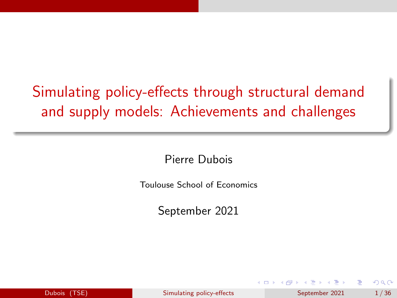# <span id="page-0-0"></span>Simulating policy-effects through structural demand and supply models: Achievements and challenges

Pierre Dubois

Toulouse School of Economics

September 2021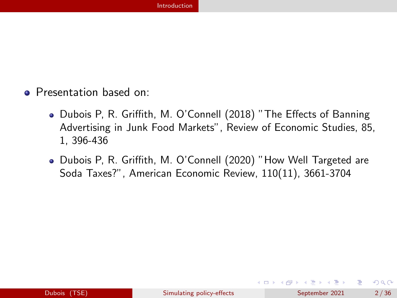- <span id="page-1-0"></span>**•** Presentation based on:
	- Dubois P, R. Griffith, M. O'Connell (2018) "The Effects of Banning Advertising in Junk Food Markets", Review of Economic Studies, 85, 1, 396-436
	- Dubois P, R. Griffith, M. O'Connell (2020) "How Well Targeted are Soda Taxes?", American Economic Review, 110(11), 3661-3704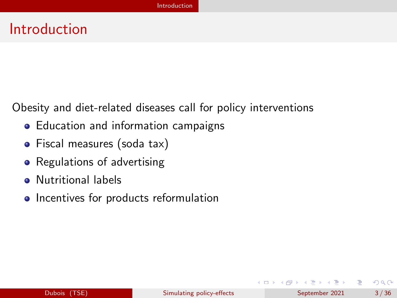#### Introduction

Obesity and diet-related diseases call for policy interventions

- Education and information campaigns
- Fiscal measures (soda tax)
- Regulations of advertising
- **•** Nutritional labels
- Incentives for products reformulation

э

 $QQ$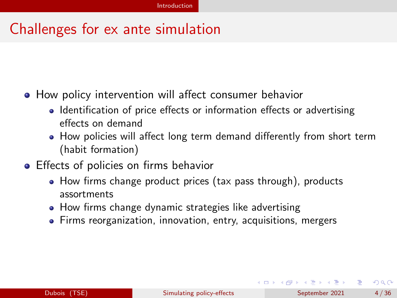### Challenges for ex ante simulation

- How policy intervention will affect consumer behavior
	- Identification of price effects or information effects or advertising effects on demand
	- How policies will affect long term demand differently from short term (habit formation)
- **•** Effects of policies on firms behavior
	- How firms change product prices (tax pass through), products assortments
	- How firms change dynamic strategies like advertising
	- Firms reorganization, innovation, entry, acquisitions, mergers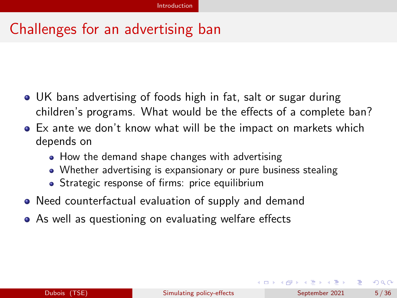### Challenges for an advertising ban

- UK bans advertising of foods high in fat, salt or sugar during children's programs. What would be the effects of a complete ban?
- Ex ante we don't know what will be the impact on markets which depends on
	- How the demand shape changes with advertising
	- Whether advertising is expansionary or pure business stealing
	- Strategic response of firms: price equilibrium
- Need counterfactual evaluation of supply and demand
- As well as questioning on evaluating welfare effects

イロト イ母ト イヨト イヨト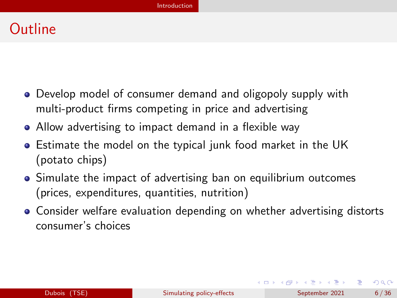### **Outline**

- Develop model of consumer demand and oligopoly supply with multi-product firms competing in price and advertising
- Allow advertising to impact demand in a flexible way
- Estimate the model on the typical junk food market in the UK (potato chips)
- Simulate the impact of advertising ban on equilibrium outcomes (prices, expenditures, quantities, nutrition)
- Consider welfare evaluation depending on whether advertising distorts consumer's choices

イロト イ押 トイヨ トイヨ トー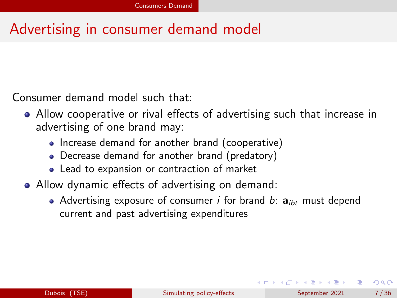### <span id="page-6-0"></span>Advertising in consumer demand model

Consumer demand model such that:

- Allow cooperative or rival effects of advertising such that increase in advertising of one brand may:
	- Increase demand for another brand (cooperative)
	- Decrease demand for another brand (predatory)
	- Lead to expansion or contraction of market
- Allow dynamic effects of advertising on demand:
	- Advertising exposure of consumer *i* for brand *b*:  $a_{ibt}$  must depend current and past advertising expenditures

イロト イ押 トイヨ トイヨ トー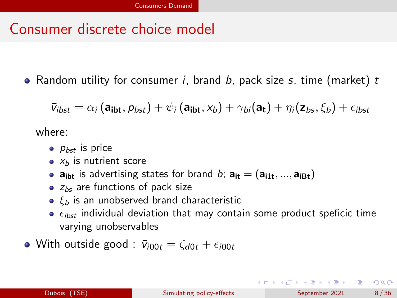#### Consumer discrete choice model

• Random utility for consumer  $i$ , brand  $b$ , pack size  $s$ , time (market)  $t$ 

$$
\bar{v}_{ibst} = \alpha_i (\mathbf{a}_{ibt}, p_{bst}) + \psi_i (\mathbf{a}_{ibt}, x_b) + \gamma_{bi} (\mathbf{a}_t) + \eta_i (\mathbf{z}_{bs}, \xi_b) + \epsilon_{ibst}
$$

where:

- $\bullet$   $p_{bst}$  is price
- $\bullet$   $x_h$  is nutrient score
- $a_{ibt}$  is advertising states for brand b;  $a_{it} = (a_{i1t}, ..., a_{iBt})$
- $\bullet$   $z_{bs}$  are functions of pack size
- $\bullet$   $\xi_b$  is an unobserved brand characteristic
- $\bullet$   $\epsilon_{i\text{hst}}$  individual deviation that may contain some product speficic time varying unobservables
- With outside good :  $\bar{v}_{i00t} = \zeta_{d0t} + \epsilon_{i00t}$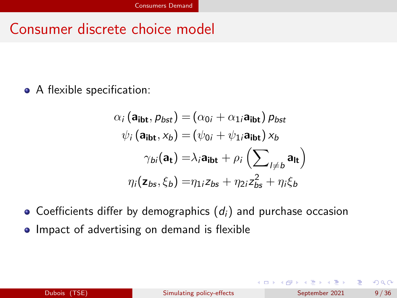#### Consumer discrete choice model

• A flexible specification:

$$
\alpha_i (\mathbf{a_{ibt}}, p_{bst}) = (\alpha_{0i} + \alpha_{1i} \mathbf{a_{ibt}}) p_{bst}
$$
  

$$
\psi_i (\mathbf{a_{ibt}}, x_b) = (\psi_{0i} + \psi_{1i} \mathbf{a_{ibt}}) x_b
$$
  

$$
\gamma_{bi} (\mathbf{a_t}) = \lambda_i \mathbf{a_{ibt}} + \rho_i \left( \sum_{l \neq b} \mathbf{a_{lt}} \right)
$$
  

$$
\eta_i (\mathbf{z_{bs}}, \xi_b) = \eta_{1i} z_{bs} + \eta_{2i} z_{bs}^2 + \eta_i \xi_b
$$

 $\bullet$  Coefficients differ by demographics  $(d_i)$  and purchase occasion

• Impact of advertising on demand is flexible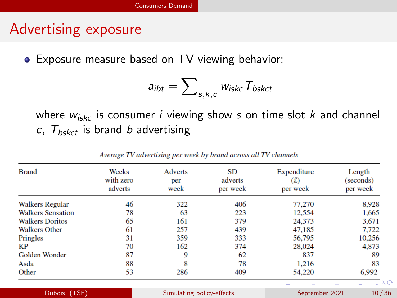#### Advertising exposure

Exposure measure based on TV viewing behavior:

$$
a_{ibt} = \sum\nolimits_{s,k,c} w_{iskc} T_{bskct}
$$

where  $w_{\text{iske}}$  is consumer *i* viewing show s on time slot k and channel c,  $T_{bskct}$  is brand b advertising

| <b>Brand</b>             | Weeks<br>with zero<br>adverts | <b>Adverts</b><br>per<br>week | SD<br>adverts<br>per week | Expenditure<br>(£)<br>per week | Length<br>(seconds)<br>per week |
|--------------------------|-------------------------------|-------------------------------|---------------------------|--------------------------------|---------------------------------|
| <b>Walkers Regular</b>   | 46                            | 322                           | 406                       | 77,270                         | 8.928                           |
| <b>Walkers Sensation</b> | 78                            | 63                            | 223                       | 12,554                         | 1,665                           |
| <b>Walkers Doritos</b>   | 65                            | 161                           | 379                       | 24,373                         | 3.671                           |
| <b>Walkers Other</b>     | 61                            | 257                           | 439                       | 47,185                         | 7.722                           |
| Pringles                 | 31                            | 359                           | 333                       | 56,795                         | 10.256                          |
| КP                       | 70                            | 162                           | 374                       | 28,024                         | 4,873                           |
| Golden Wonder            | 87                            | 9                             | 62                        | 837                            | 89                              |
| Asda                     | 88                            | 8                             | 78                        | 1.216                          | 83                              |
| Other                    | 53                            | 286                           | 409                       | 54,220                         | 6,992                           |

**Dubois (TSE)** [Simulating policy-effects](#page-0-0) September 2021 10/36

Average TV advertising per week by brand across all TV channels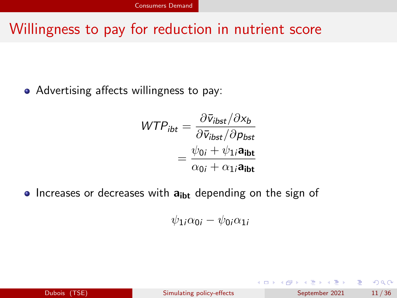#### Willingness to pay for reduction in nutrient score

• Advertising affects willingness to pay:

$$
WTP_{ibt} = \frac{\partial \bar{v}_{ibst} / \partial x_b}{\partial \bar{v}_{ibst} / \partial p_{bst}}
$$

$$
= \frac{\psi_{0i} + \psi_{1i} \mathbf{a}_{ibt}}{\alpha_{0i} + \alpha_{1i} \mathbf{a}_{ibt}}
$$

• Increases or decreases with  $a_{ibt}$  depending on the sign of

$$
\psi_{1i}\alpha_{0i}-\psi_{0i}\alpha_{1i}
$$

| <b>Dubois</b> | (TSE) |
|---------------|-------|
|               |       |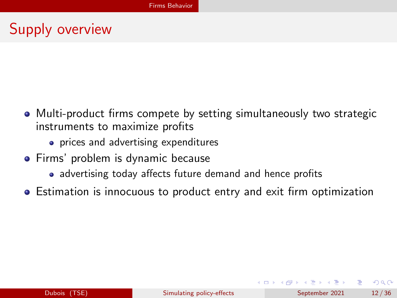## <span id="page-11-0"></span>Supply overview

- Multi-product firms compete by setting simultaneously two strategic instruments to maximize profits
	- **•** prices and advertising expenditures
- **•** Firms' problem is dynamic because
	- advertising today affects future demand and hence profits
- Estimation is innocuous to product entry and exit firm optimization

イロト イ押 トイヨ トイヨ トー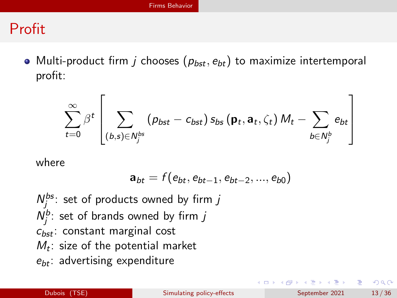### Profit

• Multi-product firm *j* chooses  $(p_{bst}, e_{bt})$  to maximize intertemporal profit:

$$
\sum_{t=0}^{\infty} \beta^{t} \left[ \sum_{(b,s) \in N_{j}^{bs}} (p_{bst} - c_{bst}) s_{bs} (\mathbf{p}_{t}, \mathbf{a}_{t}, \zeta_{t}) M_{t} - \sum_{b \in N_{j}^{b}} e_{bt} \right]
$$

where

$$
\mathbf{a}_{bt} = f(e_{bt}, e_{bt-1}, e_{bt-2}, ..., e_{b0})
$$

 $N_j^{bs}$ : set of products owned by firm j  $N_j^b$ : set of brands owned by firm j  $c_{bst}$ : constant marginal cost  $M_t$ : size of the potential market  $e_{bt}$ : advertising expenditure

イロト イ母 トイヨ トイヨ トー

G.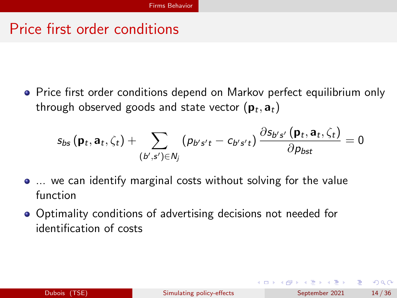#### Price first order conditions

• Price first order conditions depend on Markov perfect equilibrium only through observed goods and state vector  $(\mathbf{p}_t,\mathbf{a}_t)$ 

$$
s_{bs}\left(\mathbf{p}_t,\mathbf{a}_t,\zeta_t\right)+\sum_{\left(b',s'\right)\in N_j} \left(\rho_{b's't}-c_{b's't}\right)\frac{\partial s_{b's'}\left(\mathbf{p}_t,\mathbf{a}_t,\zeta_t\right)}{\partial \rho_{bst}}=0
$$

- ... we can identify marginal costs without solving for the value function
- Optimality conditions of advertising decisions not needed for identification of costs

 $\Omega$ 

イロト イ押 トイヨ トイヨ トー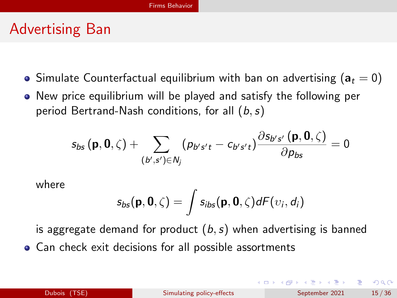#### Advertising Ban

- Simulate Counterfactual equilibrium with ban on advertising ( $a_t = 0$ )
- New price equilibrium will be played and satisfy the following per period Bertrand-Nash conditions, for all  $(b, s)$

$$
s_{bs}(\mathbf{p},\mathbf{0},\zeta)+\sum_{(b',s')\in N_j}(\rho_{b's't}-c_{b's't})\frac{\partial s_{b's'}(\mathbf{p},\mathbf{0},\zeta)}{\partial \rho_{bs}}=0
$$

where

$$
s_{bs}(\mathbf{p},\mathbf{0},\zeta)=\int s_{ibs}(\mathbf{p},\mathbf{0},\zeta)dF(v_i,d_i)
$$

is aggregate demand for product  $(b, s)$  when advertising is banned

• Can check exit decisions for all possible assortments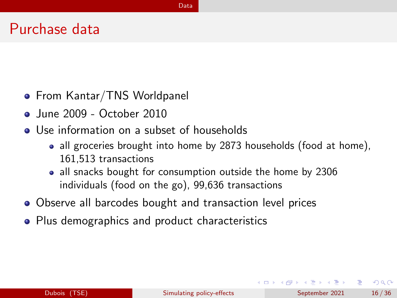#### <span id="page-15-0"></span>Purchase data

- From Kantar/TNS Worldpanel
- **•** June 2009 October 2010
- Use information on a subset of households
	- all groceries brought into home by 2873 households (food at home), 161,513 transactions
	- all snacks bought for consumption outside the home by 2306 individuals (food on the go), 99,636 transactions
- Observe all barcodes bought and transaction level prices
- Plus demographics and product characteristics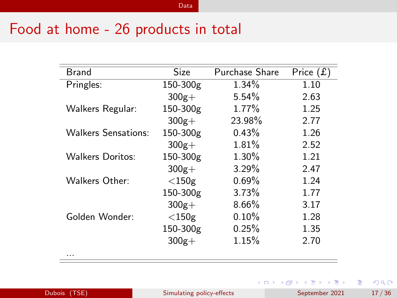#### Food at home - 26 products in total

| <b>Brand</b>               | <b>Size</b> | Purchase Share | Price $(f)$ |
|----------------------------|-------------|----------------|-------------|
| Pringles:                  | 150-300g    | $1.34\%$       | 1.10        |
|                            | $300g +$    | 5.54%          | 2.63        |
| Walkers Regular:           | 150-300g    | 1.77%          | 1.25        |
|                            | $300g +$    | 23.98%         | 2.77        |
| <b>Walkers Sensations:</b> | 150-300g    | 0.43%          | 1.26        |
|                            | $300g+$     | 1.81%          | 2.52        |
| Walkers Doritos:           | 150-300g    | 1.30%          | 1.21        |
|                            | $300g +$    | $3.29\%$       | 2.47        |
| Walkers Other:             | $<$ 150g    | 0.69%          | 1.24        |
|                            | 150-300g    | 3.73%          | 1.77        |
|                            | $300g +$    | $8.66\%$       | 3.17        |
| Golden Wonder:             | $<$ 150g    | $0.10\%$       | 1.28        |
|                            | 150-300g    | 0.25%          | 1.35        |
|                            | $300g+$     | 1.15%          | 2.70        |
| .                          |             |                |             |

重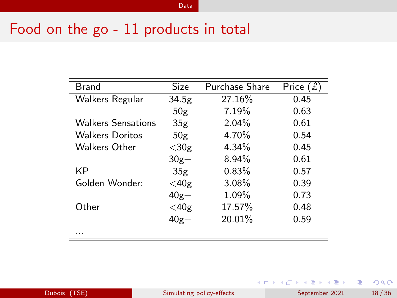#### Food on the go - 11 products in total

| Brand                     | Size            | <b>Purchase Share</b> | Price $(f)$ |
|---------------------------|-----------------|-----------------------|-------------|
| Walkers Regular           | 34.5g           | 27.16%                | 0.45        |
|                           | 50g             | 7.19%                 | 0.63        |
| <b>Walkers Sensations</b> | 35 <sub>g</sub> | $2.04\%$              | 0.61        |
| <b>Walkers Doritos</b>    | 50g             | 4.70%                 | 0.54        |
| <b>Walkers Other</b>      | $<$ 30g         | $4.34\%$              | 0.45        |
|                           | $30g+$          | $8.94\%$              | 0.61        |
| ΚP                        | 35 <sub>g</sub> | 0.83%                 | 0.57        |
| Golden Wonder:            | $<$ 40g         | $3.08\%$              | 0.39        |
|                           | $40g +$         | 1.09%                 | 0.73        |
| Other                     | $<$ 40g         | 17.57%                | 0.48        |
|                           | $40g +$         | 20.01%                | 0.59        |
| .                         |                 |                       |             |

重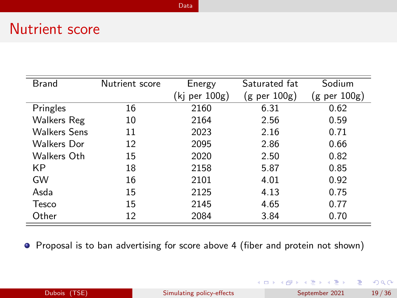#### Nutrient score

| <b>Brand</b>        | Nutrient score | Energy            | Saturated fat    | Sodium           |
|---------------------|----------------|-------------------|------------------|------------------|
|                     |                | $(kj$ per $100g)$ | $(g$ per $100g)$ | $(g$ per $100g)$ |
| Pringles            | 16             | 2160              | 6.31             | 0.62             |
| Walkers Reg         | 10             | 2164              | 2.56             | 0.59             |
| <b>Walkers Sens</b> | 11             | 2023              | 2.16             | 0.71             |
| <b>Walkers Dor</b>  | 12             | 2095              | 2.86             | 0.66             |
| Walkers Oth         | 15             | 2020              | 2.50             | 0.82             |
| КP                  | 18             | 2158              | 5.87             | 0.85             |
| GW                  | 16             | 2101              | 4.01             | 0.92             |
| Asda                | 15             | 2125              | 4.13             | 0.75             |
| <b>Tesco</b>        | 15             | 2145              | 4.65             | 0.77             |
| Other               | 12             | 2084              | 3.84             | 0.70             |

Proposal is to ban advertising for score above 4 (fiber and protein not shown)

Dubois (TSE) [Simulating policy-effects](#page-0-0) September 2021 19/36

イロト イ部 トイヨ トイヨト

 $2990$ 

÷.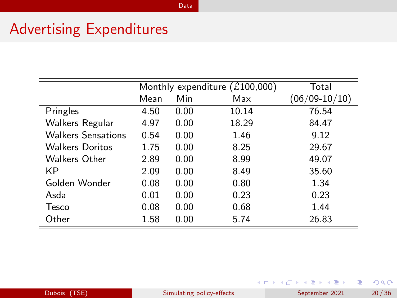#### Advertising Expenditures

|                           |      |      | Monthly expenditure $(£100,000)$ | Total           |
|---------------------------|------|------|----------------------------------|-----------------|
|                           | Mean | Min  | Max                              | $(06/09-10/10)$ |
| Pringles                  | 4.50 | 0.00 | 10.14                            | 76.54           |
| Walkers Regular           | 4.97 | 0.00 | 18.29                            | 84.47           |
| <b>Walkers Sensations</b> | 0.54 | 0.00 | 1.46                             | 9.12            |
| <b>Walkers Doritos</b>    | 1.75 | 0.00 | 8.25                             | 29.67           |
| Walkers Other             | 2.89 | 0.00 | 8.99                             | 49.07           |
| KP                        | 2.09 | 0.00 | 8.49                             | 35.60           |
| Golden Wonder             | 0.08 | 0.00 | 0.80                             | 1.34            |
| Asda                      | 0.01 | 0.00 | 0.23                             | 0.23            |
| Tesco                     | 0.08 | 0.00 | 0.68                             | 1.44            |
| Other                     | 1.58 | 0.00 | 5.74                             | 26.83           |

[Data](#page-15-0)

イロメ イ部 メイミメ イミメー

 $298$ 

Ε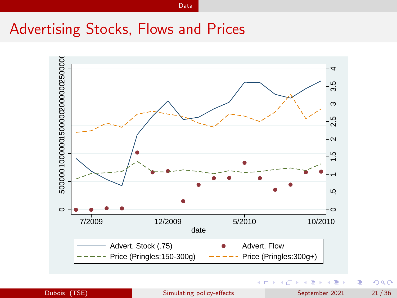#### Advertising Stocks, Flows and Prices



[Data](#page-15-0)

Dubois (TSE) [Simulating policy-effects](#page-0-0) September 2021 21/36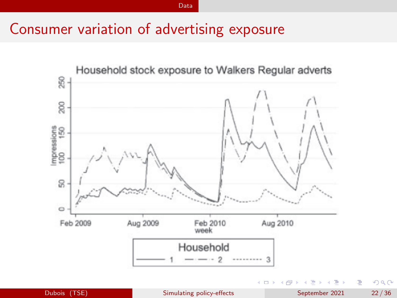#### Consumer variation of advertising exposure

[Data](#page-15-0)



Þ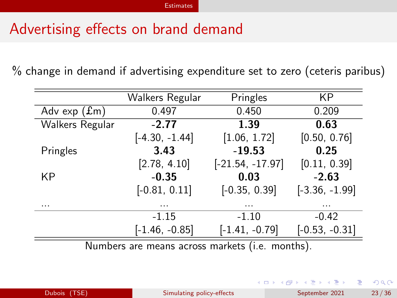### <span id="page-22-0"></span>Advertising effects on brand demand

% change in demand if advertising expenditure set to zero (ceteris paribus)

|                                                 | Walkers Regular  | Pringles           | КP               |
|-------------------------------------------------|------------------|--------------------|------------------|
| Adv $exp(fm)$                                   | 0.497            | 0.450              | 0.209            |
| Walkers Regular                                 | $-2.77$          | 1.39               | 0.63             |
|                                                 | $[-4.30, -1.44]$ | [1.06, 1.72]       | [0.50, 0.76]     |
| Pringles                                        | 3.43             | $-19.53$           | 0.25             |
|                                                 | [2.78, 4.10]     | $[-21.54, -17.97]$ | [0.11, 0.39]     |
| KP                                              | $-0.35$          | 0.03               | $-2.63$          |
|                                                 | $[-0.81, 0.11]$  | $[-0.35, 0.39]$    | $[-3.36, -1.99]$ |
| .                                               |                  | .                  | .                |
|                                                 | $-1.15$          | $-1.10$            | $-0.42$          |
|                                                 | $[-1.46, -0.85]$ | $[-1.41, -0.79]$   | $[-0.53, -0.31]$ |
| Numbers are means across markets (i.e. months). |                  |                    |                  |

ヨメ メヨメ

**← ロ → → ← 何 →** 

э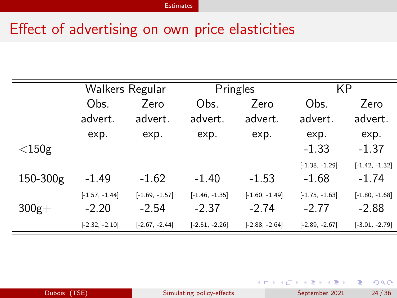### Effect of advertising on own price elasticities

|              | Walkers Regular             |                             | Pringles                    |                             | ΚP                          |                             |
|--------------|-----------------------------|-----------------------------|-----------------------------|-----------------------------|-----------------------------|-----------------------------|
|              | Obs.                        | Zero                        | Obs.                        | Zero                        | Obs.                        | Zero                        |
|              | advert.                     | advert.                     | advert.                     | advert.                     | advert.                     | advert.                     |
|              | exp.                        | exp.                        | exp.                        | exp.                        | exp.                        | exp.                        |
| $<$ 150g     |                             |                             |                             |                             | $-1.33$                     | $-1.37$                     |
| $150 - 300g$ | $-1.49$                     | $-1.62$                     | $-1.40$                     | $-1.53$                     | $[-1.38, -1.29]$<br>$-1.68$ | $[-1.42, -1.32]$<br>$-1.74$ |
|              |                             |                             |                             |                             |                             |                             |
| $300g+$      | $[-1.57, -1.44]$<br>$-2.20$ | $[-1.69, -1.57]$<br>$-2.54$ | $[-1.46, -1.35]$<br>$-2.37$ | $[-1.60, -1.49]$<br>$-2.74$ | $[-1.75, -1.63]$<br>$-2.77$ | $[-1.80, -1.68]$<br>$-2.88$ |
|              | $[-2.32, -2.10]$            | $[-2.67, -2.44]$            | $[-2.51, -2.26]$            | $[-2.88, -2.64]$            | $[-2.89, -2.67]$            | $[-3.01, -2.79]$            |

Ε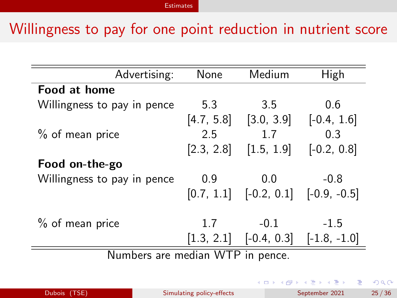#### Willingness to pay for one point reduction in nutrient score

| Advertising:                     | None       | Medium                                    | High           |  |  |
|----------------------------------|------------|-------------------------------------------|----------------|--|--|
| Food at home                     |            |                                           |                |  |  |
| Willingness to pay in pence      | 5.3        | 3.5                                       | 0.6            |  |  |
|                                  |            | $[4.7, 5.8]$ $[3.0, 3.9]$ $[-0.4, 1.6]$   |                |  |  |
| $%$ of mean price                | 2.5        | 1.7                                       | 0.3            |  |  |
|                                  | [2.3, 2.8] | [1.5, 1.9]                                | $[-0.2, 0.8]$  |  |  |
| Food on-the-go                   |            |                                           |                |  |  |
| Willingness to pay in pence      | 0.9        | 0.0                                       | $-0.8$         |  |  |
|                                  |            | $[0.7, 1.1]$ $[-0.2, 0.1]$ $[-0.9, -0.5]$ |                |  |  |
|                                  |            |                                           |                |  |  |
| $%$ of mean price                | 1.7        | $-0.1$                                    | $-1.5$         |  |  |
|                                  | [1.3, 2.1] | $[-0.4, 0.3]$                             | $[-1.8, -1.0]$ |  |  |
| Numbers are median WTP in pence. |            |                                           |                |  |  |

 $\sim$  $\rightarrow$   $\equiv$   $\rightarrow$ 

**← ロ → → ← 何 →** 

э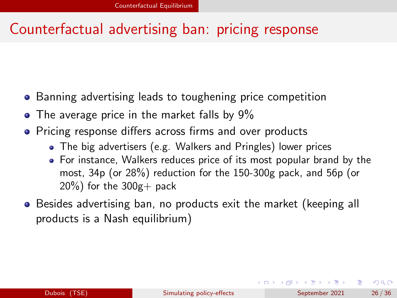#### <span id="page-25-0"></span>Counterfactual advertising ban: pricing response

- **•** Banning advertising leads to toughening price competition
- The average price in the market falls by 9%
- Pricing response differs across firms and over products
	- The big advertisers (e.g. Walkers and Pringles) lower prices
	- For instance, Walkers reduces price of its most popular brand by the most, 34p (or 28%) reduction for the 150-300g pack, and 56p (or  $20\%$ ) for the  $300g +$  pack
- Besides advertising ban, no products exit the market (keeping all products is a Nash equilibrium)

イロト イ母 トイヨ トイヨ トー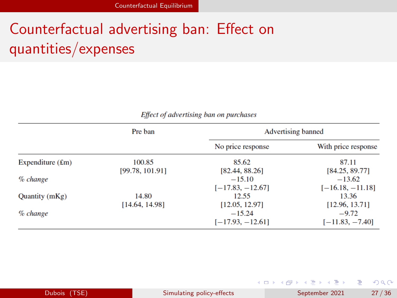# Counterfactual advertising ban: Effect on quantities/expenses

|  |  | Effect of advertising ban on purchases |  |
|--|--|----------------------------------------|--|
|--|--|----------------------------------------|--|

|                           | Pre ban         | <b>Advertising banned</b> |                     |  |
|---------------------------|-----------------|---------------------------|---------------------|--|
|                           |                 | No price response         | With price response |  |
| Expenditure $(\text{Em})$ | 100.85          | 85.62                     | 87.11               |  |
|                           | [99.78, 101.91] | [82.44, 88.26]            | [84.25, 89.77]      |  |
| $\%$ change               |                 | $-15.10$                  | $-13.62$            |  |
|                           |                 | $[-17.83, -12.67]$        | $[-16.18, -11.18]$  |  |
| Quantity (mKg)            | 14.80           | 12.55                     | 13.36               |  |
|                           | [14.64, 14.98]  | [12.05, 12.97]            | [12.96, 13.71]      |  |
| % change                  |                 | $-15.24$                  | $-9.72$             |  |
|                           |                 | $[-17.93, -12.61]$        | $[-11.83, -7.40]$   |  |

|              |                           | ユー・コール アール・エー エー・エー・エー・システム |       |
|--------------|---------------------------|-----------------------------|-------|
| Dubois (TSE) | Simulating policy-effects | September 2021              | 27/36 |

**Common Common** 

**Contract Contract** 

**Commercial**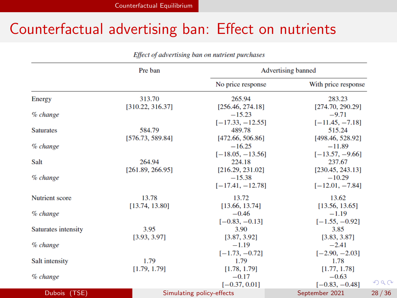#### Counterfactual advertising ban: Effect on nutrients

|                     | Pre ban          | <b>Advertising banned</b> |                         |  |
|---------------------|------------------|---------------------------|-------------------------|--|
|                     |                  | No price response         | With price response     |  |
| Energy              | 313.70           | 265.94                    | 283.23                  |  |
|                     | [310.22, 316.37] | [256.46, 274.18]          | [274.70, 290.29]        |  |
| $%$ change          |                  | $-15.23$                  | $-9.71$                 |  |
|                     |                  | $[-17.33, -12.55]$        | $[-11.45, -7.18]$       |  |
| <b>Saturates</b>    | 584.79           | 489.78                    | 515.24                  |  |
|                     | [576.73, 589.84] | [472.66, 506.86]          | [498.46, 528.92]        |  |
| $\%$ change         |                  | $-16.25$                  | $-11.89$                |  |
|                     |                  | $[-18.05, -13.56]$        | $[-13.57, -9.66]$       |  |
| Salt                | 264.94           | 224.18                    | 237.67                  |  |
|                     | [261.89, 266.95] | [216.29, 231.02]          | [230.45, 243.13]        |  |
| % change            |                  | $-15.38$                  | $-10.29$                |  |
|                     |                  | $[-17.41, -12.78]$        | $[-12.01, -7.84]$       |  |
| Nutrient score      | 13.78            | 13.72                     | 13.62                   |  |
|                     | [13.74, 13.80]   | [13.66, 13.74]            | [13.56, 13.65]          |  |
| % change            |                  | $-0.46$                   | $-1.19$                 |  |
|                     |                  | $[-0.83, -0.13]$          | $[-1.55, -0.92]$        |  |
| Saturates intensity | 3.95             | 3.90                      | 3.85                    |  |
|                     | [3.93, 3.97]     | [3.87, 3.92]              | [3.83, 3.87]            |  |
| $%$ change          |                  | $-1.19$                   | $-2.41$                 |  |
|                     |                  | $[-1.73, -0.72]$          | $[-2.90, -2.03]$        |  |
| Salt intensity      | 1.79             | 1.79                      | 1.78                    |  |
|                     | [1.79, 1.79]     | [1.78, 1.79]              | [1.77, 1.78]            |  |
| $\%$ change         |                  | $-0.17$                   | $-0.63$                 |  |
|                     |                  | $[-0.37, 0.01]$           | 2Q<br>$[-0.83, -0.48]$  |  |
| Dubois (TSE)        |                  | Simulating policy-effects | 28/36<br>September 2021 |  |

Effect of advertising ban on nutrient purchases

 $QQ$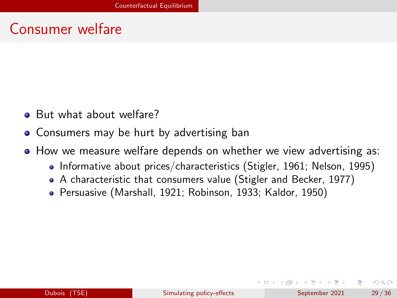#### Consumer welfare

- But what about welfare?
- **Consumers may be hurt by advertising ban**
- How we measure welfare depends on whether we view advertising as:
	- Informative about prices/characteristics (Stigler, 1961; Nelson, 1995)
	- A characteristic that consumers value (Stigler and Becker, 1977)
	- Persuasive (Marshall, 1921; Robinson, 1933; Kaldor, 1950)

イロト イ押ト イヨト イヨト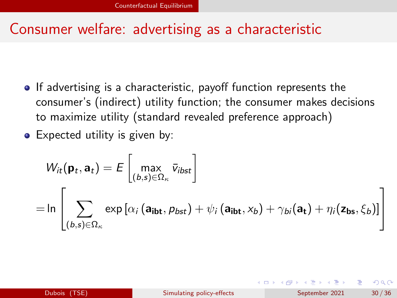#### Consumer welfare: advertising as a characteristic

- If advertising is a characteristic, payoff function represents the consumer's (indirect) utility function; the consumer makes decisions to maximize utility (standard revealed preference approach)
- Expected utility is given by:

$$
W_{it}(\mathbf{p}_t, \mathbf{a}_t) = E\begin{bmatrix} \max_{(b,s)\in\Omega_{\kappa}} \bar{v}_{ibst} \\ \sum_{(b,s)\in\Omega_{\kappa}} \exp\left[\alpha_i \left(\mathbf{a}_{\mathbf{ibt}}, p_{bst}\right) + \psi_i \left(\mathbf{a}_{\mathbf{ibt}}, x_b\right) + \gamma_{bi}(\mathbf{a}_t) + \eta_i(\mathbf{z}_{\mathbf{bs}}, \xi_b)\right] \end{bmatrix}
$$

 $QQ$ 

イロト イ押ト イヨト イヨト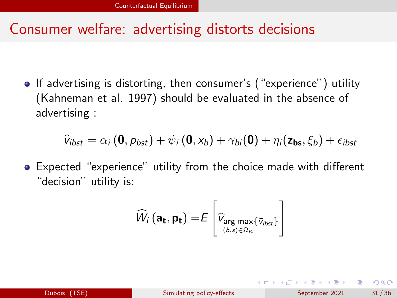#### Consumer welfare: advertising distorts decisions

• If advertising is distorting, then consumer's ("experience") utility (Kahneman et al. 1997) should be evaluated in the absence of advertising :

$$
\widehat{v}_{ibst} = \alpha_i (\mathbf{0}, p_{bst}) + \psi_i (\mathbf{0}, x_b) + \gamma_{bi} (\mathbf{0}) + \eta_i (\mathbf{z_{bs}}, \xi_b) + \epsilon_{ibst}
$$

Expected "experience" utility from the choice made with different "decision" utility is:

$$
\widehat{W}_{i}\left(\mathbf{a_{t}}, \mathbf{p_{t}}\right) = E\left[\widehat{v}_{\underset{\left(b, s\right) \in \Omega_{\kappa}}{\arg \max} \{\overline{v}_{i b s t}\}}\right]
$$

イロト イ押ト イヨト イヨト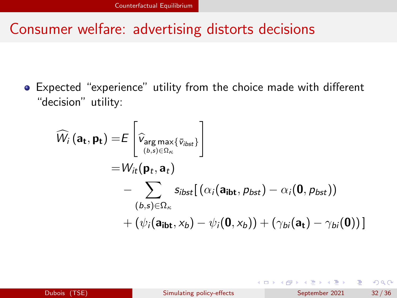#### Consumer welfare: advertising distorts decisions

Expected "experience" utility from the choice made with different "decision" utility:

$$
\widehat{W}_{i}(\mathbf{a_{t}}, \mathbf{p_{t}}) = E\left[\widehat{v}_{\underset{(b,s)\in\Omega_{\kappa}}{\arg\max}\{\overline{v}_{i b s t}\}}\right]
$$
\n
$$
= W_{i t}(\mathbf{p}_{t}, \mathbf{a}_{t})
$$
\n
$$
- \sum_{(b,s)\in\Omega_{\kappa}} s_{i b s t} [(\alpha_{i}(\mathbf{a_{i b t}}, p_{b s t}) - \alpha_{i}(\mathbf{0}, p_{b s t}))
$$
\n
$$
+ (\psi_{i}(\mathbf{a_{i b t}}, x_{b}) - \psi_{i}(\mathbf{0}, x_{b})) + (\gamma_{b i}(\mathbf{a_{t}}) - \gamma_{b i}(\mathbf{0}))]
$$

イロト イ母ト イヨト イヨト

э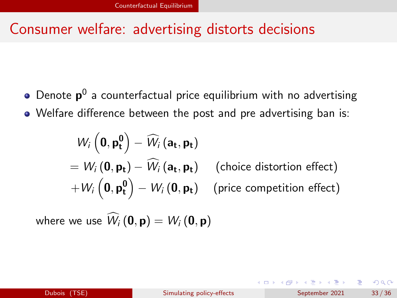#### Consumer welfare: advertising distorts decisions

Denote  $\bm{{\mathsf{p}}}^0$  a counterfactual price equilibrium with no advertising Welfare difference between the post and pre advertising ban is:

$$
W_{i} (\mathbf{0}, \mathbf{p_t^0}) - \widehat{W}_{i} (\mathbf{a_t}, \mathbf{p_t})
$$
  
=  $W_{i} (\mathbf{0}, \mathbf{p_t}) - \widehat{W}_{i} (\mathbf{a_t}, \mathbf{p_t})$  (choice distortion effect)  
+  $W_{i} (\mathbf{0}, \mathbf{p_t^0}) - W_{i} (\mathbf{0}, \mathbf{p_t})$  (price competition effect)

where we use  $\hat{W}_i(\mathbf{0}, \mathbf{p}) = W_i(\mathbf{0}, \mathbf{p})$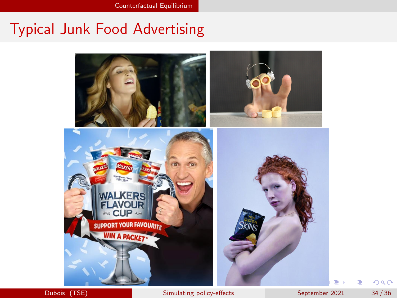## Typical Junk Food Advertising



 $298$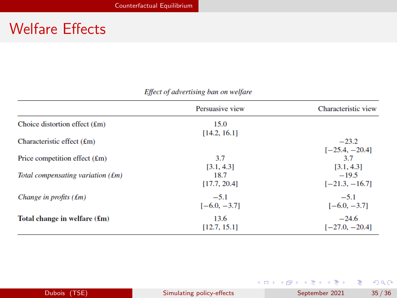### Welfare Effects

|                                        | Persuasive view | Characteristic view |
|----------------------------------------|-----------------|---------------------|
| Choice distortion effect $(\text{fm})$ | 15.0            |                     |
|                                        | [14.2, 16.1]    |                     |
| Characteristic effect $(fm)$           |                 | $-23.2$             |
|                                        |                 | $[-25.4, -20.4]$    |
| Price competition effect $(\text{Em})$ | 3.7             | 3.7                 |
|                                        | [3.1, 4.3]      | [3.1, 4.3]          |
| Total compensating variation $(fm)$    | 18.7            | $-19.5$             |
|                                        | [17.7, 20.4]    | $[-21.3, -16.7]$    |
| Change in profits $(fm)$               | $-5.1$          | $-5.1$              |
|                                        | $[-6.0, -3.7]$  | $[-6.0, -3.7]$      |
| Total change in welfare $(f_m)$        | 13.6            | $-24.6$             |
|                                        | [12.7, 15.1]    | $[-27.0, -20.4]$    |

#### Effect of advertising ban on welfare

|              |                           | マロア マばア マミア マミア ニミー つべいし |       |
|--------------|---------------------------|--------------------------|-------|
| Dubois (TSE) | Simulating policy-effects | September 2021           | 35/36 |

*Charles Company* (Company)

**Service**  $\equiv$   $0<sup>0</sup>$